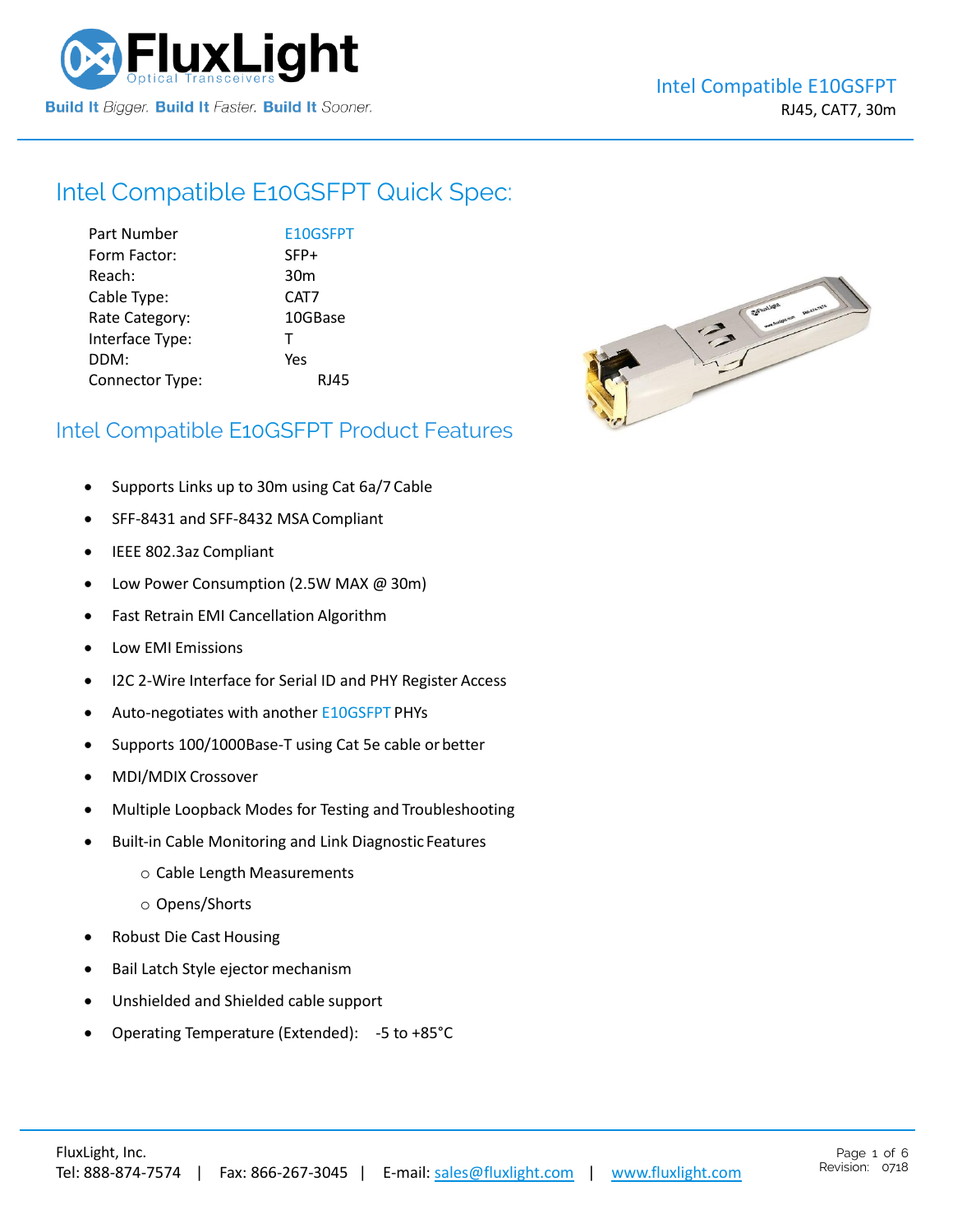

# Intel Compatible [E10GSFPT](https://www.fluxlight.com/e10gsfpt/) Quick Spec:

Part Number **[E10GSFPT](https://www.fluxlight.com/e10gsfpt/)** Form Factor: SFP+ Reach: 30m Cable Type: CAT7 Rate Category: 10GBase Interface Type: T DDM: Yes Connector Type: RJ45



# Intel Compatible [E10GSFPT](https://www.fluxlight.com/e10gsfpt/) Product Features

- Supports Links up to 30m using Cat 6a/7 Cable
- SFF-8431 and SFF-8432 MSA Compliant
- IEEE 802.3az Compliant
- Low Power Consumption (2.5W MAX @ 30m)
- Fast Retrain EMI Cancellation Algorithm
- Low EMI Emissions
- I2C 2-Wire Interface for Serial ID and PHY Register Access
- Auto-negotiates with anothe[r E10GSFPT](https://www.fluxlight.com/e10gsfpt/) PHYs
- Supports 100/1000Base-T using Cat 5e cable or better
- MDI/MDIX Crossover
- Multiple Loopback Modes for Testing and Troubleshooting
- Built-in Cable Monitoring and Link Diagnostic Features
	- o Cable Length Measurements
	- o Opens/Shorts
- Robust Die Cast Housing
- Bail Latch Style ejector mechanism
- Unshielded and Shielded cable support
- Operating Temperature (Extended): -5 to +85°C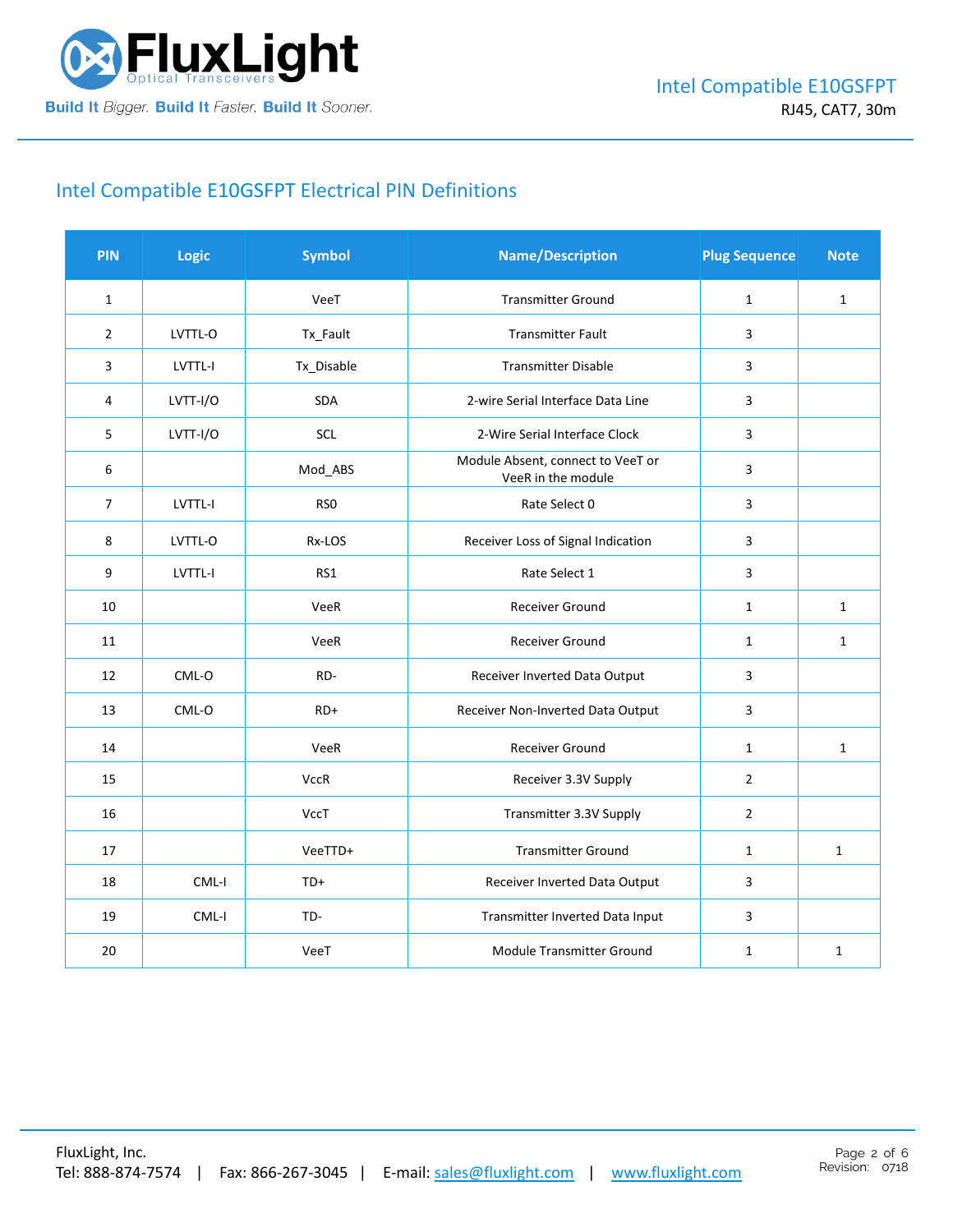

# Intel Compatible [E10GSFPT](https://www.fluxlight.com/e10gsfpt/) Electrical PIN Definitions

| <b>PIN</b>     | Logic    | <b>Symbol</b>   | <b>Name/Description</b>                                 | <b>Plug Sequence</b> | <b>Note</b>  |
|----------------|----------|-----------------|---------------------------------------------------------|----------------------|--------------|
| $\mathbf{1}$   |          | VeeT            | <b>Transmitter Ground</b>                               | $\mathbf{1}$         | $\mathbf 1$  |
| $\overline{2}$ | LVTTL-O  | Tx_Fault        | <b>Transmitter Fault</b>                                | 3                    |              |
| 3              | LVTTL-I  | Tx_Disable      | <b>Transmitter Disable</b>                              | 3                    |              |
| 4              | LVTT-I/O | <b>SDA</b>      | 2-wire Serial Interface Data Line                       | 3                    |              |
| 5              | LVTT-I/O | SCL             | 2-Wire Serial Interface Clock                           | 3                    |              |
| 6              |          | Mod_ABS         | Module Absent, connect to VeeT or<br>VeeR in the module | 3                    |              |
| $\overline{7}$ | LVTTL-I  | RS <sub>0</sub> | Rate Select 0                                           | 3                    |              |
| 8              | LVTTL-O  | Rx-LOS          | Receiver Loss of Signal Indication                      | 3                    |              |
| 9              | LVTTL-I  | RS1             | Rate Select 1                                           | 3                    |              |
| 10             |          | VeeR            | Receiver Ground                                         | $\mathbf{1}$         | $\mathbf{1}$ |
| 11             |          | VeeR            | Receiver Ground                                         | $\mathbf{1}$         | $\mathbf{1}$ |
| 12             | CML-O    | RD-             | Receiver Inverted Data Output                           | 3                    |              |
| 13             | CML-O    | $RD+$           | Receiver Non-Inverted Data Output                       | 3                    |              |
| 14             |          | VeeR            | Receiver Ground                                         | $\mathbf 1$          | $\mathbf{1}$ |
| 15             |          | <b>VccR</b>     | Receiver 3.3V Supply                                    | $\overline{2}$       |              |
| 16             |          | VccT            | Transmitter 3.3V Supply                                 | $\overline{2}$       |              |
| 17             |          | VeeTTD+         | <b>Transmitter Ground</b>                               | $\mathbf{1}$         | $\mathbf{1}$ |
| 18             | CML-I    | $TD+$           | Receiver Inverted Data Output                           | 3                    |              |
| 19             | CML-I    | TD-             | Transmitter Inverted Data Input                         | 3                    |              |
| 20             |          | VeeT            | Module Transmitter Ground                               | $\mathbf{1}$         | $\mathbf{1}$ |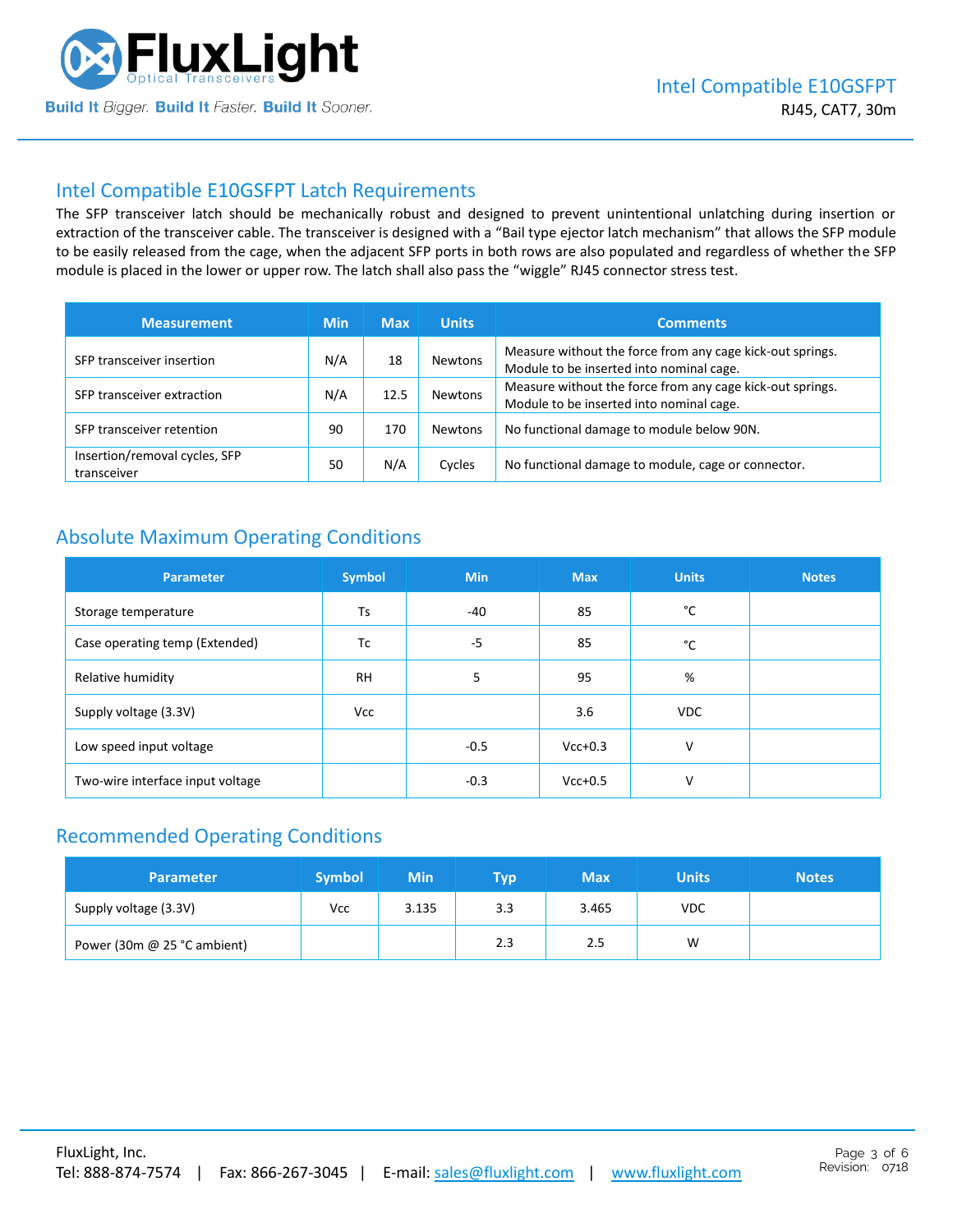

# Intel Compatible [E10GSFPT](https://www.fluxlight.com/e10gsfpt/) Latch Requirements

The SFP transceiver latch should be mechanically robust and designed to prevent unintentional unlatching during insertion or extraction of the transceiver cable. The transceiver is designed with a "Bail type ejector latch mechanism" that allows the SFP module to be easily released from the cage, when the adjacent SFP ports in both rows are also populated and regardless of whether the SFP module is placed in the lower or upper row. The latch shall also pass the "wiggle" RJ45 connector stress test.

| <b>Measurement</b>                           | <b>Min</b> | <b>Max</b> | <b>Units</b>   | <b>Comments</b>                                                                                       |
|----------------------------------------------|------------|------------|----------------|-------------------------------------------------------------------------------------------------------|
| SFP transceiver insertion                    | N/A        | 18         | <b>Newtons</b> | Measure without the force from any cage kick-out springs.<br>Module to be inserted into nominal cage. |
| SFP transceiver extraction                   | N/A        | 12.5       | Newtons        | Measure without the force from any cage kick-out springs.<br>Module to be inserted into nominal cage. |
| SFP transceiver retention                    | 90         | 170        | <b>Newtons</b> | No functional damage to module below 90N.                                                             |
| Insertion/removal cycles, SFP<br>transceiver | 50         | N/A        | Cycles         | No functional damage to module, cage or connector.                                                    |

# Absolute Maximum Operating Conditions

| <b>Parameter</b>                 | <b>Symbol</b> | <b>Min</b> | <b>Max</b> | <b>Units</b> | <b>Notes</b> |
|----------------------------------|---------------|------------|------------|--------------|--------------|
| Storage temperature              | Ts            | $-40$      | 85         | °C           |              |
| Case operating temp (Extended)   | Tc            | $-5$       | 85         | °C           |              |
| Relative humidity                | <b>RH</b>     | 5          | 95         | %            |              |
| Supply voltage (3.3V)            | <b>Vcc</b>    |            | 3.6        | <b>VDC</b>   |              |
| Low speed input voltage          |               | $-0.5$     | $Vcc+0.3$  | v            |              |
| Two-wire interface input voltage |               | $-0.3$     | $Vcc+0.5$  | $\vee$       |              |

# Recommended Operating Conditions

| <b>Parameter</b>              | <b>Symbol</b> | Min   | <b>TVD</b> | <b>Max</b> | <b>Units</b> | <b>Notes</b> |
|-------------------------------|---------------|-------|------------|------------|--------------|--------------|
| Supply voltage (3.3V)         | Vcc           | 3.135 | 3.3        | 3.465      | <b>VDC</b>   |              |
| Power (30m $@$ 25 °C ambient) |               |       | 2.3        | 2.5        | W            |              |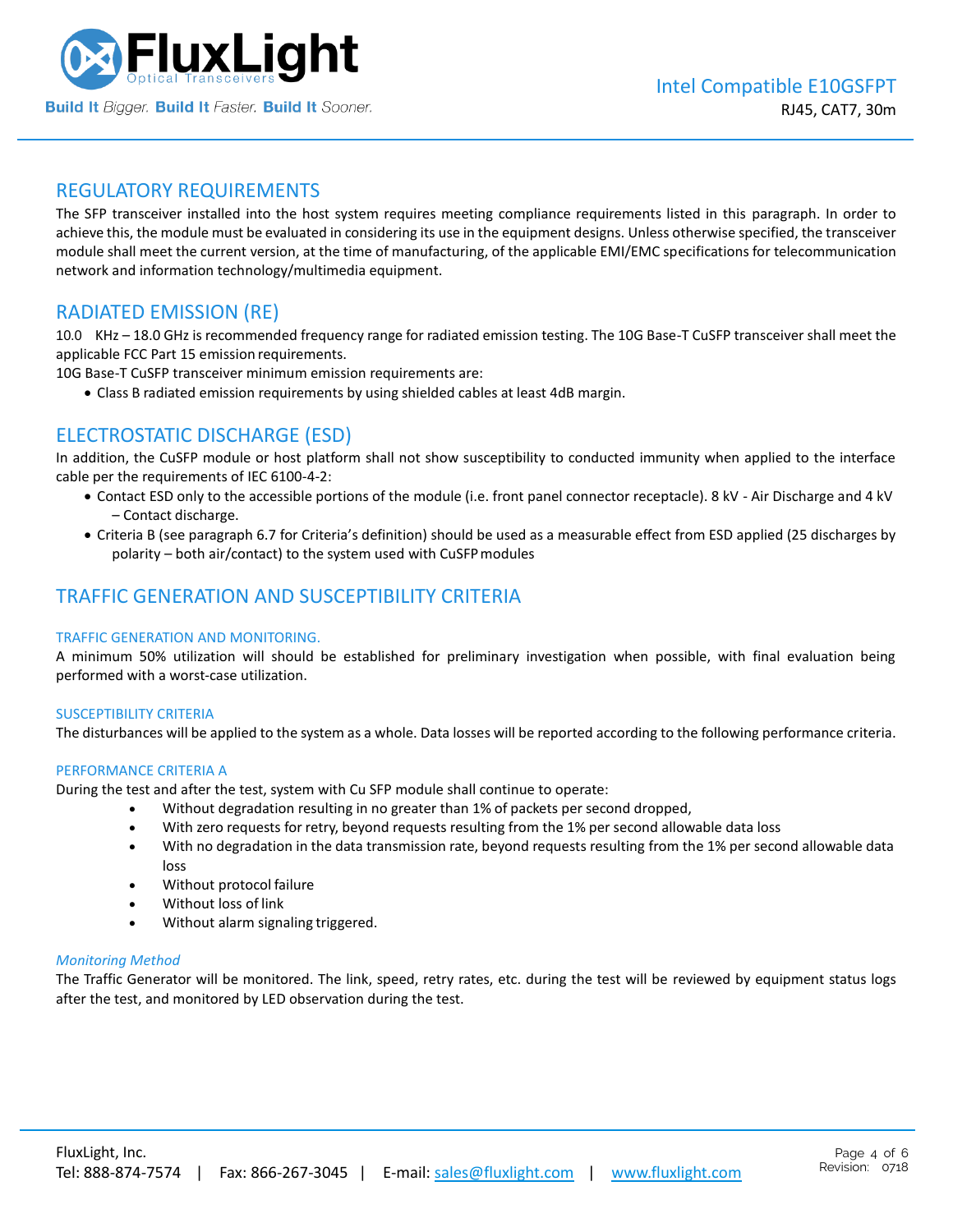

### REGULATORY REQUIREMENTS

The SFP transceiver installed into the host system requires meeting compliance requirements listed in this paragraph. In order to achieve this, the module must be evaluated in considering its use in the equipment designs. Unless otherwise specified, the transceiver module shall meet the current version, at the time of manufacturing, of the applicable EMI/EMC specifications for telecommunication network and information technology/multimedia equipment.

## RADIATED EMISSION (RE)

10.0 KHz – 18.0 GHz is recommended frequency range for radiated emission testing. The 10G Base-T CuSFP transceiver shall meet the applicable FCC Part 15 emission requirements.

10G Base-T CuSFP transceiver minimum emission requirements are:

• Class B radiated emission requirements by using shielded cables at least 4dB margin.

# ELECTROSTATIC DISCHARGE (ESD)

In addition, the CuSFP module or host platform shall not show susceptibility to conducted immunity when applied to the interface cable per the requirements of IEC 6100-4-2:

- Contact ESD only to the accessible portions of the module (i.e. front panel connector receptacle). 8 kV Air Discharge and 4 kV – Contact discharge.
- Criteria B (see paragraph 6.7 for Criteria's definition) should be used as a measurable effect from ESD applied (25 discharges by polarity – both air/contact) to the system used with CuSFPmodules

# TRAFFIC GENERATION AND SUSCEPTIBILITY CRITERIA

#### TRAFFIC GENERATION AND MONITORING.

A minimum 50% utilization will should be established for preliminary investigation when possible, with final evaluation being performed with a worst-case utilization.

#### SUSCEPTIBILITY CRITERIA

The disturbances will be applied to the system as a whole. Data losses will be reported according to the following performance criteria.

#### PERFORMANCE CRITERIA A

During the test and after the test, system with Cu SFP module shall continue to operate:

- Without degradation resulting in no greater than 1% of packets per second dropped,
- With zero requests for retry, beyond requests resulting from the 1% per second allowable data loss
- With no degradation in the data transmission rate, beyond requests resulting from the 1% per second allowable data loss
- Without protocol failure
- Without loss of link
- Without alarm signaling triggered.

#### *Monitoring Method*

The Traffic Generator will be monitored. The link, speed, retry rates, etc. during the test will be reviewed by equipment status logs after the test, and monitored by LED observation during the test.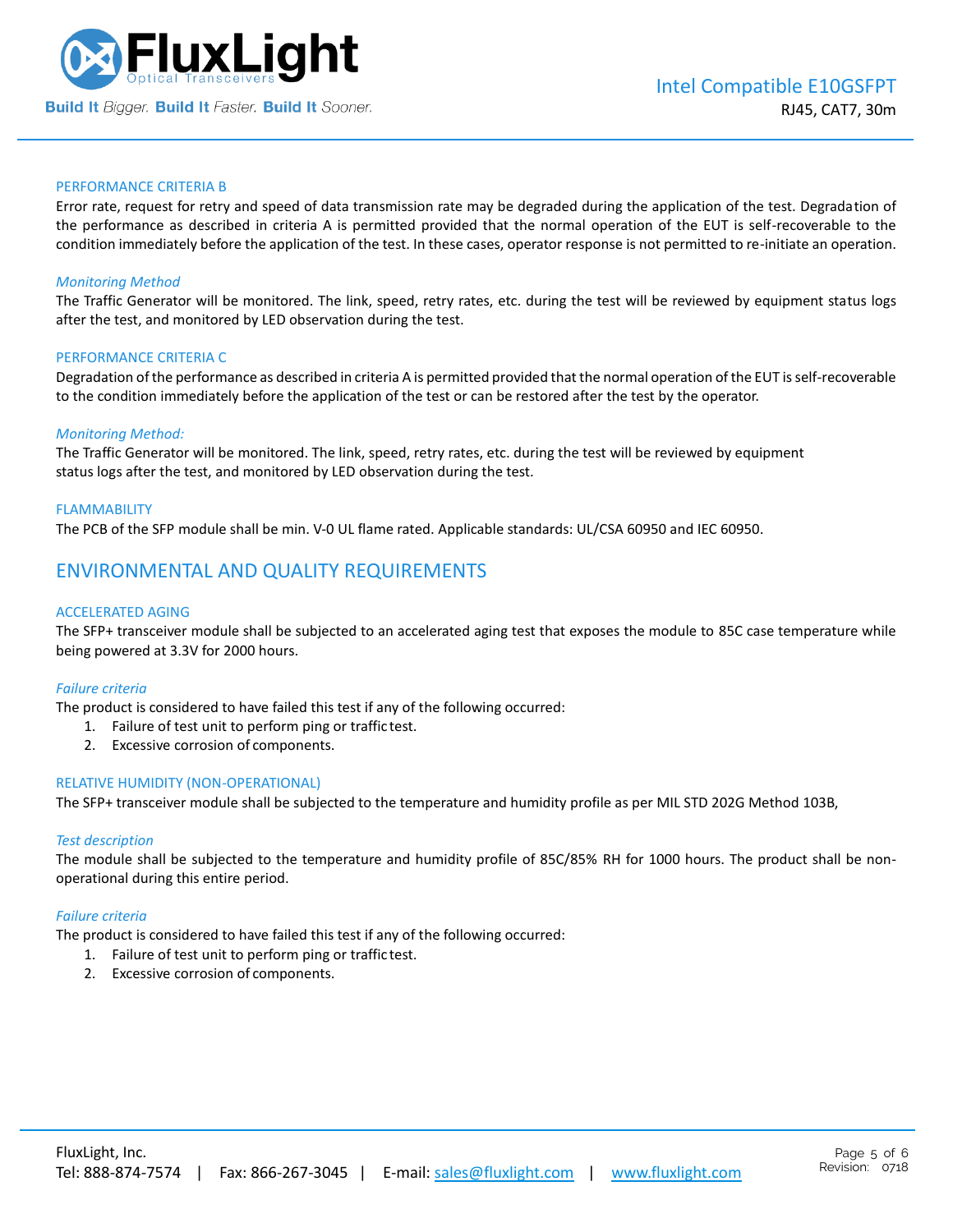

#### PERFORMANCE CRITERIA B

Error rate, request for retry and speed of data transmission rate may be degraded during the application of the test. Degradation of the performance as described in criteria A is permitted provided that the normal operation of the EUT is self-recoverable to the condition immediately before the application of the test. In these cases, operator response is not permitted to re-initiate an operation.

#### *Monitoring Method*

The Traffic Generator will be monitored. The link, speed, retry rates, etc. during the test will be reviewed by equipment status logs after the test, and monitored by LED observation during the test.

#### PERFORMANCE CRITERIA C

Degradation of the performance as described in criteria A is permitted provided that the normal operation of the EUT is self-recoverable to the condition immediately before the application of the test or can be restored after the test by the operator.

#### *Monitoring Method:*

The Traffic Generator will be monitored. The link, speed, retry rates, etc. during the test will be reviewed by equipment status logs after the test, and monitored by LED observation during the test.

#### FLAMMABILITY

The PCB of the SFP module shall be min. V-0 UL flame rated. Applicable standards: UL/CSA 60950 and IEC 60950.

## ENVIRONMENTAL AND QUALITY REQUIREMENTS

#### ACCELERATED AGING

The SFP+ transceiver module shall be subjected to an accelerated aging test that exposes the module to 85C case temperature while being powered at 3.3V for 2000 hours.

#### *Failure criteria*

The product is considered to have failed this test if any of the following occurred:

- 1. Failure of test unit to perform ping or traffic test.
- 2. Excessive corrosion of components.

#### RELATIVE HUMIDITY (NON-OPERATIONAL)

The SFP+ transceiver module shall be subjected to the temperature and humidity profile as per MIL STD 202G Method 103B,

#### *Test description*

The module shall be subjected to the temperature and humidity profile of 85C/85% RH for 1000 hours. The product shall be nonoperational during this entire period.

#### *Failure criteria*

The product is considered to have failed this test if any of the following occurred:

- 1. Failure of test unit to perform ping or traffic test.
- 2. Excessive corrosion of components.